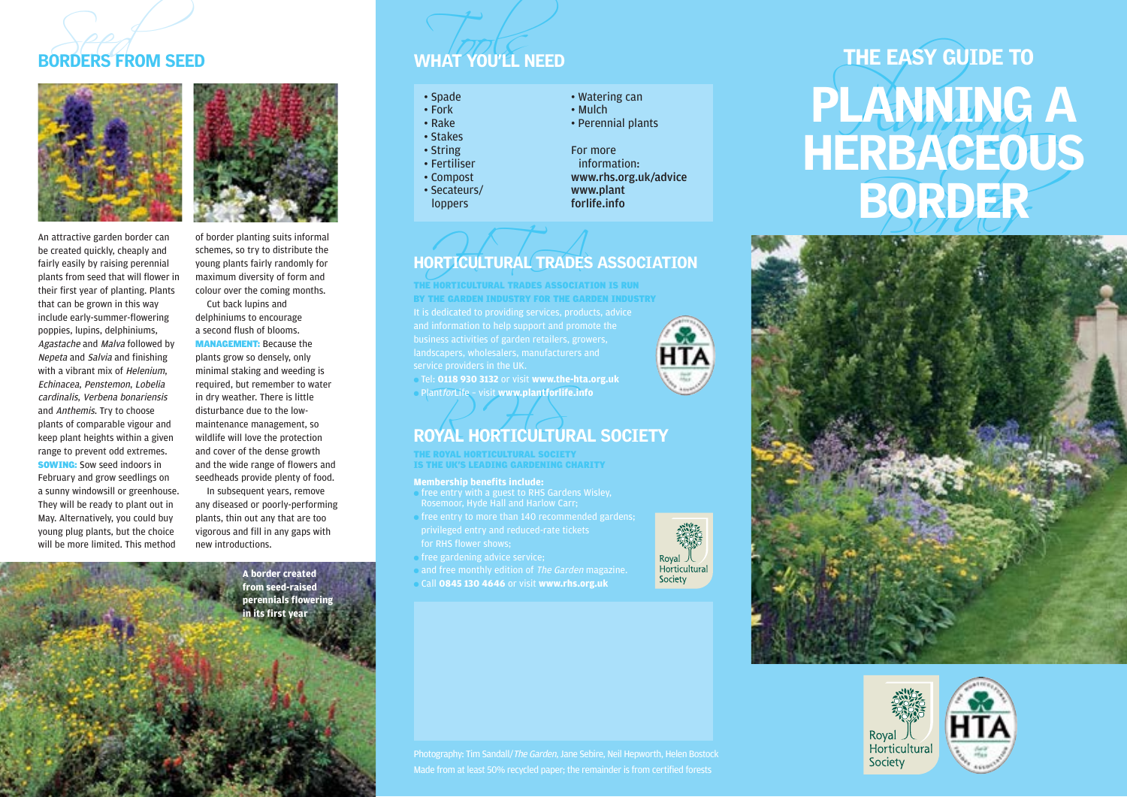

An attractive garden border can be created quickly, cheaply and fairly easily by raising perennial plants from seed that will flower in their first year of planting. Plants that can be grown in this way include early-summer-flowering poppies, lupins, delphiniums, Agastache and Malva followed by Nepeta and Salvia and finishing with a vibrant mix of *Helenium*. Echinacea, Penstemon, Lobelia cardinalis, Verbena bonariensis and Anthemis. Try to choose plants of comparable vigour and keep plant heights within a given range to prevent odd extremes. SOWING: Sow seed indoors in February and grow seedlings on a sunny windowsill or greenhouse. They will be ready to plant out in May. Alternatively, you could buy young plug plants, but the choice will be more limited. This method

of border planting suits informal schemes, so try to distribute the young plants fairly randomly for maximum diversity of form and colour over the coming months.

Cut back lupins and delphiniums to encourage a second flush of blooms. MANAGEMENT: Because the plants grow so densely, only minimal staking and weeding is required, but remember to water in dry weather. There is little disturbance due to the lowmaintenance management, so wildlife will love the protection and cover of the dense growth and the wide range of flowers and seedheads provide plenty of food.

In subsequent years, remove any diseased or poorly-performing plants, thin out any that are too vigorous and fill in any gaps with new introductions.

> **A border created from seed-raised perennials flowering in its first year**

# Seed Tools and the Town of the Tools of the Tools of the Tools of the Tools of the Tools of the Tools of the Tools of the Tools of the Tools of the Tools of the Tools of the Tools of the Tools of the Tools of the Tools of

- 
- 
- 
- 
- 
- 
- 
- 
- 

## ORTICULTURAL TRADES HORTICULTURAL TRADES ASSOCIATION

landscapers, wholesalers, manufacturers and THE HORTICULTURAL TRADES ASSOCIATION IS RUN BY THE GARDEN INDUSTRY FOR THE GARDEN INDUSTRY

● Tel: **0118 930 3132** or visit **www.the-hta.org.uk** ● PlantforLife – visit **www.plantforlife.info**

## Plant*for*Life - visit www.plantforlife.info<br>ROYAL HORTICULTURAL SOCIETY

THE ROYAL HORTICULTURAL SOCIETY IS THE UK'S LEADING GARDENING CHARITY

## **Membership benefits include:**

- free entry with a guest to RHS Gardens Wisley, Rosemoor, Hyde Hall and Harlow Carr;
- free entry to more than 140 recommended gardens;
- free gardening advice service;
- and free monthly edition of The Garden magazine.
- Call **0845 130 4646** or visit **www.rhs.org.uk**



# EORDER<br>
SORDER<br>
THE EASY GUIDE TO<br>
THE EASY GUIDE TO<br>
THE EASY GUIDE TO<br>
THE EASY GUIDE TO<br>
THE EASY GUIDE TO<br>
THE EASY GUIDE TO<br>
THE EASY GUIDE TO<br>
THE EASY GUIDE TO<br>
THE EASY GUIDE TO<br>
THE EASY GUIDE TO<br>
THE EASY GUIDE T





Photography: Tim Sandall/The Garden, Jane Sebire, Neil Hepworth, Helen Bostock Made from at least 50% recycled paper; the remainder is from certified forests

Horticultural